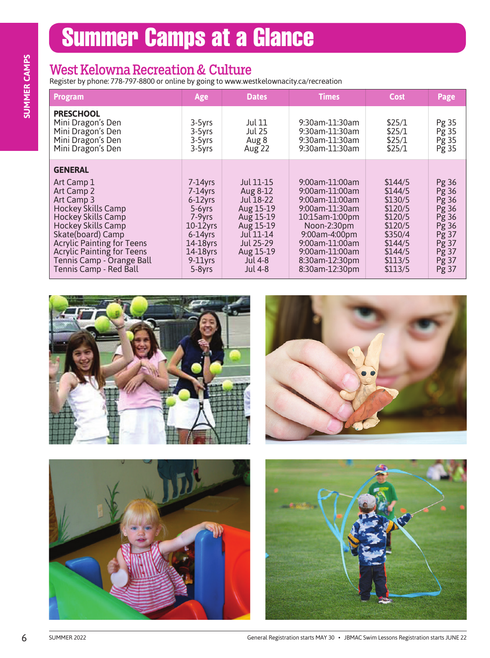## Summer Camps at a Glance

#### West Kelowna Recreation & Culture

| <b>Program</b>                                                                                                                                                                                                                                                            | Age                                                                                                                             | <b>Dates</b>                                                                                                                         | <b>Times</b>                                                                                                                                               | <b>Cost</b>                                                                                     |                                                                                           |
|---------------------------------------------------------------------------------------------------------------------------------------------------------------------------------------------------------------------------------------------------------------------------|---------------------------------------------------------------------------------------------------------------------------------|--------------------------------------------------------------------------------------------------------------------------------------|------------------------------------------------------------------------------------------------------------------------------------------------------------|-------------------------------------------------------------------------------------------------|-------------------------------------------------------------------------------------------|
| <b>PRESCHOOL</b><br>Mini Dragon's Den<br>Mini Dragon's Den<br>Mini Dragon's Den<br>Mini Dragon's Den                                                                                                                                                                      | 3-5yrs<br>3-5yrs<br>3-5yrs<br>3-5yrs                                                                                            | Jul 11<br><b>Jul 25</b><br>Aug 8<br>Aug 22                                                                                           | 9:30am-11:30am<br>9:30am-11:30am<br>9:30am-11:30am<br>9:30am-11:30am                                                                                       | \$25/1<br>\$25/1<br>\$25/1<br>\$25/1                                                            | Pg 35<br>Pg 35<br>Pg 35<br>Pg 35                                                          |
| <b>GENERAL</b><br>Art Camp 1<br>Art Camp 2<br>Art Camp 3<br>Hockey Skills Camp<br>Hockey Skills Camp<br>Hockey Skills Camp<br>Skate(board) Camp<br>Acrylic Painting for Teens<br><b>Acrylic Painting for Teens</b><br>Tennis Camp - Orange Ball<br>Tennis Camp - Red Ball | $7-14$ yrs<br>$7-14yrs$<br>6-12yrs<br>$5-6yrs$<br>$7-9yrs$<br>$10-12$ yrs<br>$6-14yrs$<br>$14-18$ yrs<br>14-18yrs<br>$9-11$ yrs | Jul 11-15<br>Aug 8-12<br>Jul 18-22<br>Aug 15-19<br>Aug 15-19<br>Aug 15-19<br>$Ju$ [11-14<br>Jul 25-29<br>Aug 15-19<br><b>Jul 4-8</b> | 9:00am-11:00am<br>9:00am-11:00am<br>9:00am-11:00am<br>9:00am-11:30am<br>10:15am-1:00pm<br>Noon-2:30pm<br>9:00am-4:00pm<br>9:00am-11:00am<br>9:00am-11:00am | \$144/5<br>\$144/5<br>\$130/5<br>\$120/5<br>\$120/5<br>\$120/5<br>\$350/4<br>\$144/5<br>\$144/5 | Pg 36<br>Pg 36<br>Pg 36<br>$\overline{P}g36$<br>Pg 36<br>Pg 36<br>Pg 37<br>Pg 37<br>Pg 37 |
|                                                                                                                                                                                                                                                                           | $5-8yrs$                                                                                                                        | Jul 4-8                                                                                                                              | 8:30am-12:30pm<br>8:30am-12:30pm                                                                                                                           | \$113/5<br>\$113/5                                                                              |                                                                                           |
|                                                                                                                                                                                                                                                                           |                                                                                                                                 |                                                                                                                                      |                                                                                                                                                            |                                                                                                 | Pg 37<br>Pg 37                                                                            |